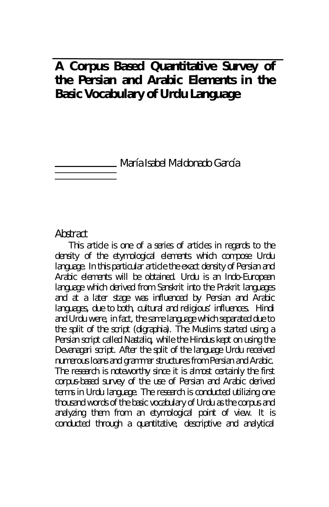# **A Corpus Based Quantitative Survey of the Persian and Arabic Elements in the Basic Vocabulary of Urdu Language**

María Isabel Maldonado García

### Abstract

This article is one of a series of articles in regards to the density of the etymological elements which compose Urdu language. In this particular article the exact density of Persian and Arabic elements will be obtained. Urdu is an Indo-European language which derived from Sanskrit into the Prakrit languages and at a later stage was influenced by Persian and Arabic languages, due to both, cultural and religious' influences. Hindi and Urdu were, in fact, the same language which separated due to the split of the script (digraphia). The Muslims started using a Persian script called Nastaliq, while the Hindus kept on using the Devanagari script. After the split of the language Urdu received numerous loans and grammar structures from Persian and Arabic. The research is noteworthy since it is almost certainly the first corpus-based survey of the use of Persian and Arabic derived terms in Urdu language. The research is conducted utilizing one thousand words of the basic vocabulary of Urdu as the corpus and analyzing them from an etymological point of view. It is conducted through a quantitative, descriptive and analytical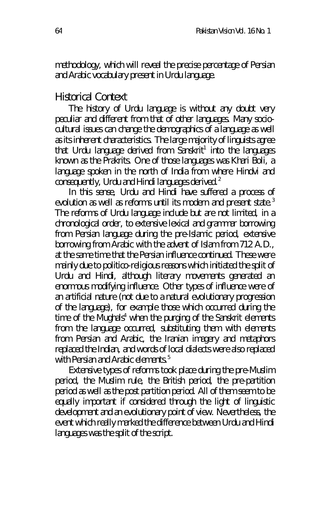methodology, which will reveal the precise percentage of Persian and Arabic vocabulary present in Urdu language.

#### Historical Context

The history of Urdu language is without any doubt very peculiar and different from that of other languages. Many sociocultural issues can change the demographics of a language as well as its inherent characteristics. The large majority of linguists agree that Urdu language derived from Sanskrit<sup>1</sup> into the languages known as the Prakrits. One of those languages was Khari Boli, a language spoken in the north of India from where Hindvi and consequently, Urdu and Hindi languages derived. $2^2$ 

In this sense, Urdu and Hindi have suffered a process of evolution as well as reforms until its modern and present state.<sup>3</sup> The reforms of Urdu language include but are not limited, in a chronological order, to extensive lexical and grammar borrowing from Persian language during the pre-Islamic period, extensive borrowing from Arabic with the advent of Islam from 712 A.D., at the same time that the Persian influence continued. These were mainly due to politico-religious reasons which initiated the split of Urdu and Hindi, although literary movements generated an enormous modifying influence. Other types of influence were of an artificial nature (not due to a natural evolutionary progression of the language), for example those which occurred during the time of the Mughals<sup>4</sup> when the purging of the Sanskrit elements from the language occurred, substituting them with elements from Persian and Arabic, the Iranian imagery and metaphors replaced the Indian, and words of local dialects were also replaced with Persian and Arabic elements.<sup>5</sup>

Extensive types of reforms took place during the pre-Muslim period, the Muslim rule, the British period, the pre-partition period as well as the post partition period. All of them seem to be equally important if considered through the light of linguistic development and an evolutionary point of view. Nevertheless, the event which really marked the difference between Urdu and Hindi languages was the split of the script.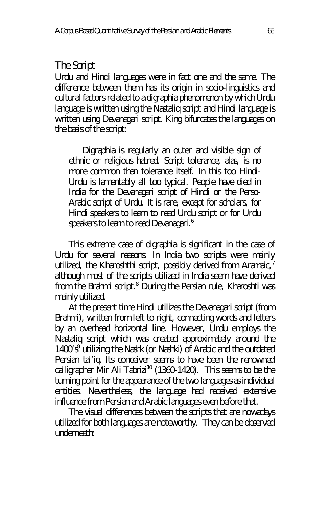### The Script

Urdu and Hindi languages were in fact one and the same. The difference between them has its origin in socio-linguistics and cultural factors related to a digraphia phenomenon by which Urdu language is written using the Nastaliq script and Hindi language is written using Devanagari script. King bifurcates the languages on the basis of the script:

Digraphia is regularly an outer and visible sign of ethnic or religious hatred. Script tolerance, alas, is no more common than tolerance itself. In this too Hindi-Urdu is lamentably all too typical. People have died in India for the Devanagari script of Hindi or the Perso-Arabic script of Urdu. It is rare, except for scholars, for Hindi speakers to learn to read Urdu script or for Urdu speakers to learn to read Devanagari.<sup>6</sup>

This extreme case of digraphia is significant in the case of Urdu for several reasons. In India two scripts were mainly utilized, the Kharoshthi script, possibly derived from Aramaic, $<sup>7</sup>$ </sup> although most of the scripts utilized in India seem have derived from the Brahmi script.<sup>8</sup> During the Persian rule, Kharoshti was mainly utilized.

At the present time Hindi utilizes the Devanagari script (from Brahmi), written from left to right, connecting words and letters by an overhead horizontal line. However, Urdu employs the Nastaliq script which was created approximately around the 1400's<sup>9</sup> utilizing the *Nashk* (or *Nashki*) of Arabic and the outdated Persian *tal'iq.* Its conceiver seems to have been the renowned calligrapher Mir Ali Tabrizi<sup>10</sup> (1360-1420). This seems to be the turning point for the appearance of the two languages as individual entities. Nevertheless, the language had received extensive influence from Persian and Arabic languages even before that.

The visual differences between the scripts that are nowadays utilized for both languages are noteworthy. They can be observed underneath: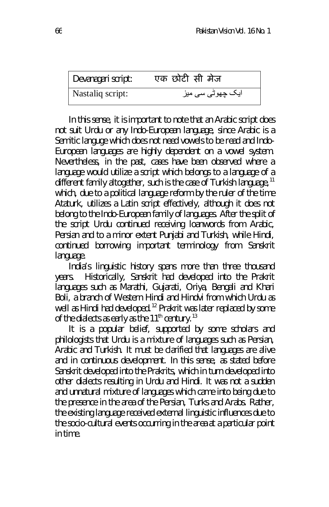| Devanagari script: | एक छोटी सी मेज                   |
|--------------------|----------------------------------|
| Nastaliq script:   | ایک چھوٹ <i>ی</i> س <i>ی</i> میز |

In this sense, it is important to note that an Arabic script does not suit Urdu or any Indo-European language, since Arabic is a Semitic languge which does not need vowels to be read and Indo-European languages are highly dependent on a vowel system. Nevertheless, in the past, cases have been observed where a language would utilize a script which belongs to a language of a different family altogether, such is the case of Turkish language,  $11$ which, due to a political language reform by the ruler of the time Ataturk, utilizes a Latin script effectively, although it does not belong to the Indo-European family of languages. After the split of the script Urdu continued receiving loanwords from Arabic, Persian and to a minor extent Punjabi and Turkish, while Hindi, continued borrowing important terminology from Sanskrit language.

India's linguistic history spans more than three thousand years. Historically, Sanskrit had developed into the Prakrit languages such as Marathi, Gujarati, Oriya, Bengali and Khari Boli, a branch of Western Hindi and Hindvi from which Urdu as well as Hindi had developed.<sup>12</sup> Prakrit was later replaced by some of the dialects as early as the  $11<sup>th</sup>$  century.<sup>13</sup>

It is a popular belief, supported by some scholars and philologists that Urdu is a mixture of languages such as Persian, Arabic and Turkish. It must be clarified that languages are alive and in continuous development. In this sense, as stated before Sanskrit developed into the Prakrits, which in turn developed into other dialects resulting in Urdu and Hindi. It was not a sudden and unnatural mixture of languages which came into being due to the presence in the area of the Persian, Turks and Arabs. Rather, the existing language received external linguistic influences due to the socio-cultural events occurring in the area at a particular point in time.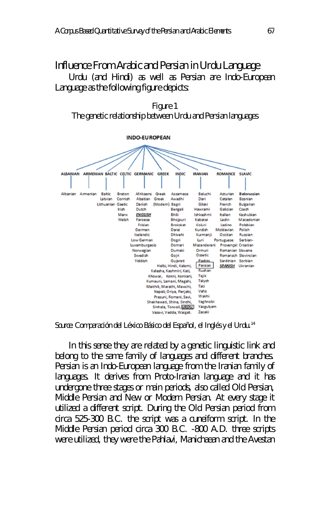## Influence From Arabic and Persian in Urdu Language

Urdu (and Hindi) as well as Persian are Indo-European Language as the following figure depicts:





*Source*: Comparación del Léxico Básico del Español, el Inglés y el Urdu.<sup>14</sup>

In this sense they are related by a genetic linguistic link and belong to the same family of languages and different branches. Persian is an Indo-European language from the Iranian family of languages. It derives from Proto-Iranian language and it has undergone three stages or main periods, also called Old Persian, Middle Persian and New or Modern Persian. At every stage it utilized a different script. During the Old Persian period from circa 525-300 B.C. the script was a cuneiform script. In the Middle Persian period circa 300 B.C. -800 A.D. three scripts were utilized, they were the Pahlavi, Manichaean and the Avestan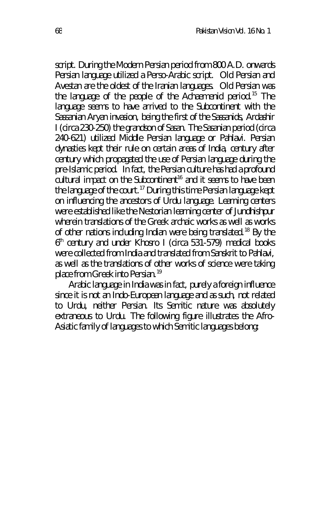script. During the Modern Persian period from 800 A.D. onwards Persian language utilized a Perso-Arabic script. Old Persian and Avestan are the oldest of the Iranian languages. Old Persian was the language of the people of the Achaemenid period.<sup>15</sup> The language seems to have arrived to the Subcontinent with the Sassanian Aryan invasion, being the first of the Sassanids, Ardashir I (circa 230-250) the grandson of Sasan. The Sasanian period (circa 240-621) utilized Middle Persian language or Pahlavi. Persian dynasties kept their rule on certain areas of India, century after century which propagated the use of Persian language during the pre-Islamic period. In fact, the Persian culture has had a profound  $\frac{1}{2}$  cultural impact on the Subcontinent<sup>16</sup> and it seems to have been the language of the court.<sup>17</sup> During this time Persian language kept on influencing the ancestors of Urdu language. Learning centers were established like the Nestorian learning center of Jundhishpur wherein translations of the Greek archaic works as well as works of other nations including Indian were being translated.<sup>18</sup> By the 6 th century and under Khosro I (circa 531-579) medical books were collected from India and translated from Sanskrit to Pahlavi, as well as the translations of other works of science were taking place from Greek into Persian.<sup>19</sup>

Arabic language in India was in fact, purely a foreign influence since it is not an Indo-European language and as such, not related to Urdu, neither Persian. Its Semitic nature was absolutely extraneous to Urdu. The following figure illustrates the Afro-Asiatic family of languages to which Semitic languages belong: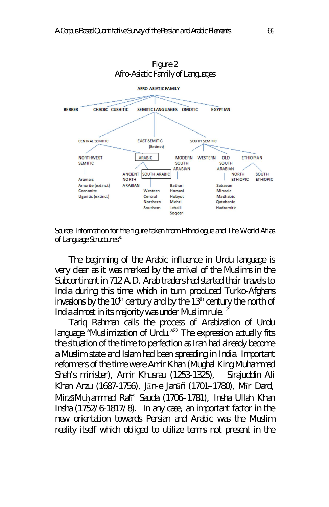



*Source*: Information for the figure taken from Ethnologue and The World Atlas of Language Structures<sup>20</sup>

The beginning of the Arabic influence in Urdu language is very clear as it was marked by the arrival of the Muslims in the Subcontinent in 712 A.D. Arab traders had started their travels to India during this time which in turn produced Turko-Afghans invasions by the  $10<sup>th</sup>$  century and by the  $13<sup>th</sup>$  century the north of India almost in its majority was under Muslim rule.<sup>21</sup>

Tariq Rahman calls the process of Arabization of Urdu language "Muslimization of Urdu. $n^{22}$  The expression actually fits the situation of the time to perfection as Iran had already become a Muslim state and Islam had been spreading in India. Important reformers of the time were Amir Khan (Mughal King Muhammad Shah's minister), Amir Khusrau (1253-1325), Sirajuddin Ali Khan Arzu (1687-1756), Jān-e Janāñ (1701–1780), Mīr Dard, MirzāMuḥammad Rafīʿ Sauda (1706–1781), Insha Ullah Khan Insha (1752/6-1817/8). In any case, an important factor in the new orientation towards Persian and Arabic was the Muslim reality itself which obliged to utilize terms not present in the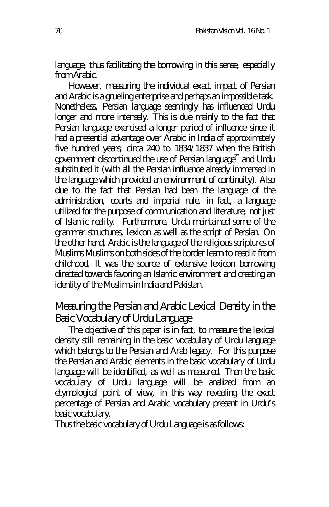language, thus facilitating the borrowing in this sense, especially from Arabic.

However, measuring the individual exact impact of Persian and Arabic is a grueling enterprise and perhaps an impossible task. Nonetheless, Persian language seemingly has influenced Urdu longer and more intensely. This is due mainly to the fact that Persian language exercised a longer period of influence since it had a presential advantage over Arabic in India of approximately five hundred years; circa 240 to 1834/1837 when the British government discontinued the use of Persian language<sup>23</sup> and Urdu substituted it (with all the Persian influence already immersed in the language which provided an environment of continuity). Also due to the fact that Persian had been the language of the administration, courts and imperial rule, in fact, a language utilized for the purpose of communication and literature, not just of Islamic reality. Furthermore, Urdu maintained some of the grammar structures, lexicon as well as the script of Persian. On the other hand, Arabic is the language of the religious scriptures of Muslims Muslims on both sides of the border learn to read it from childhood. It was the source of extensive lexicon borrowing directed towards favoring an Islamic environment and creating an identity of the Muslims in India and Pakistan.

### Measuring the Persian and Arabic Lexical Density in the Basic Vocabulary of Urdu Language

The objective of this paper is in fact, to measure the lexical density still remaining in the basic vocabulary of Urdu language which belongs to the Persian and Arab legacy. For this purpose the Persian and Arabic elements in the basic vocabulary of Urdu language will be identified, as well as measured. Then the basic vocabulary of Urdu language will be analized from an etymological point of view, in this way revealing the exact percentage of Persian and Arabic vocabulary present in Urdu's basic vocabulary.

Thus the basic vocabulary of Urdu Language is as follows: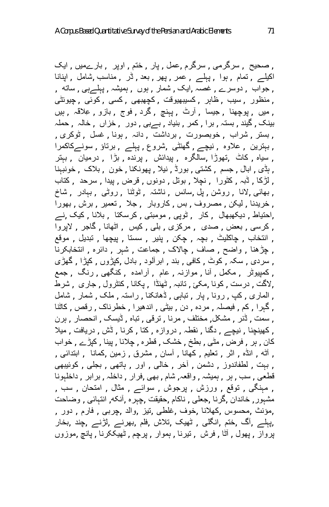, صحیح , سرگرمی , سرگرم ,عمل , پار , ختم , اوپر , بارےمیں , ایک اکیلے , تمام , ہوا , پہلے , عمر , پھر , بعد , ڈر , مناسب ,شامل , اپنانا , جواب , دوسرے , غصہ ,ایک , شمار , ہوں , ہمیشہ , پہلےہی , ساتھ , , منظور , سیب , ظاہر , کسیبھیوقت , کچھبھی , کسی , کوئی , چیونٹی , میں , پوچھنا , جیسا , آرٹ , پہنچ , گرد , فوج , بازو , عِلاقَہ , ہیں بینک , گیند , بستہ , برا , کمر , بنیاد , بےبی , دور , خزاں , خالہ , حملہ , بستر , شراب , خوبصورت , برداشت , دانہ , ہونا , غسل , ٹوکری , , بہترین , علاوہ , نیچے , گھنٹی ,شروع , پہلے , برتاؤ , سونےکاکمرا , سیاہ , کاٹ ,تھوڑا ,سالگرہ , پیدائش , پرندہ , بڑا , درمیان , بہتر , ہڈی , ابال , جسم , کشتی , بورڈ , نیلا , پھونکنا , خون , بلاک , خونبہنا , لڑکا , ڈبہ , کٹورا , نچلا , بوتل , دونوں , قرض , پیدا , سرحد , کتاب , بھائی ,لانا , روشن , پل ,سانس , ناشتہ , ٹوٹنا , روٹی , بہادر , شاخ , خریدنا , لیکن , مصروف , بس , کاروبار , جلا , تعمیر , برش , بھورا ,احتیاط , دیکھبھال , کار , ٹوپی , مومبتی , کرسکتا , بلانا , کیک ,نے , کرسی , بعض , صدی , مرکزی , بلی , کیس , اٹھانا , گاجر , لاپروا , انتخاب , چاکلیٹ , بچہ , چکن , پنیر , سستا , پیچھا , تبدیل , موقع , چڑھنا , واضح , صاف , چالاک , جماعت , شہر , دائرہ , انتخابکرنا , سردی , سکہ , کوٹ , کافی , بند , ابرآلود , بادل ,کپڑوں , کپڑا , گھڑی , کمپیوٹر , مکمل , آنا , موازنہ , عام , آرامدہ , کنگھی , رنگ , جمع ,لاگت , درست , کونا ,مکئ , تانبہ , ٹھنڈا , پکانا , کنٹرول , جاری , شرط , الماری , کپ , رونا , پار , تباہی , ڈھانکنا , راستہ , ملک , شمار , شامل , گہرا , کم , فیصلہ , مردہ , دن , بیٹی , اندھیرا , خطرناک , رقص , کاٹنا , سمت , ڈنر , مشکل, مختلف , مرنا , ترقی , تباہ , ڈیسک , انحصار , ہرن , کھینچنا , نیچے , دگنا , نقطہ , دروازہ , کتا , کرنا , ڈش , دریافت , میلا کان , ہر , فرض , مٹی , بطخ , خشک , قطرہ , چلانا , پینا , کپڑے , خواب , آٹھ , انڈہ , اثر , تعلیم , کھانا , آسان , مشرق , زمین ,کمانا , ابتدائی , , بہت , لطفاندوز , دشمن , آخر , خالی , اور , ہاتھی , بجلی , کوئیبھی قطعی , سب , ہر , ہمیشہ , واقعہ, شام , بھی ,فرار , داخلہ , برابر , داخلہونا , مہنگی , توقع , ورزش , پرجوش , سوائے , مثال , امتحان , سب , مشہور, خاندان ,گرنا ,جعلی , ناکام ,حقیقت ,چہرہ ,آنکھ, انتہائی , وضاحت ,مؤنث ,محسوس ,کھلانا ,خوف ,غلطی ,تیز ,والد ,چربی , فارم , دور , ,پہلے ,آگ ,ختم ,انگلی , ٹھیک ,تلاش ,فلم ,بھرنے ,لڑنے ,چند ,بخار پرواز , پھول , آٹا , فرش , تیرنا , ہموار , پرچم , ٹھیککرنا , پانچ ,موزوں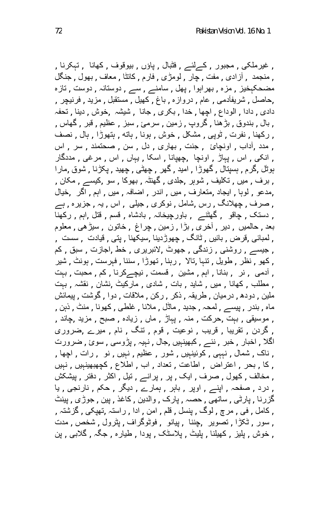, غیرملکی , مجبور , کےلئے , فٹبال , پاؤں , بیوقوف , کھانا , تہکرنا , , منجمد , آزادی , مفت , چار , لومڑی , فارم , کانٹا , معاف , بھول , جنگل مضحکہخیز , مزہ , بھراہوا , پھل , سامنے , سے , دوستانہ , دوست , تازہ ,حاصل , شریفآدمی , عام , دروازہ , باغ , کھیل , مستقبل , مزید , فرنیچر , دادی , دادا , الوداع , اچھا , خدا , بکری , جانا , شیشہ ,خوش , دینا , تحفہ , بال , بندوق , بڑھنا , گروپ , زمین , سرمئ , سبز , عظیم , قبر , گھاس , , رکھنا , نفرت , ٹوپی , مشکل , خوش , ہونا , ہاتھ , ہتھوڑا , ہال , نصف , مدد ,آداب , اونچائ , جنت , بھاری , دل , سن , صحتمند , سر , اس , انکی , اس , پہاڑ , اونچا ,چھپانا , اسکا , یہاں , اس , مرغی , مددگار ہوٹل ,گرم , ہسپتال , گھوڑا , امید , گھر , چھٹی , چھید , پکڑنا , شوق ,مارا , برف , میں , تکلیف , شوہر ,جلدی , گھنٹہ , بھوکا , سو ,کیسے , مکان , ,مدعو , لوہا , ایجاد ,متعارف , میں , اندر , اضافہ , میں , اہم , اگر ,خیال , صرف , چھلانگ , رس ,شامل , نوکری , جیلی , اس , یہ , جزیرہ , ہے , دستک , چاقو , گھٹنے , باورچیخانہ , بادشاہ , قسم , قتل ,اہم , رکھنا بعد , حالمیں , دیر , آخری , بڑا , زمین , چراغ , خاتون , سیڑھی , معلوم , لمبائی ,قرض , بائیں , ٹانگ , چھوڑدینا ,سیکھنا , پتی , قیادت , سست , , جیسے , روشنی , زندگی , جھوٹ ,لائبریری , خط ,اجازت , سبق , کم , کھو , نظر , طویل , تنہا ,تالا , رہنا , تھوڑا , سننا , فہرست , ہونٹ , شیر , آدمی , نر , بنانا , اہم , مشین , قسمت , نیچےکرنا , کم , محبت , بہت , مطلب , کھانا , میں , شاید , بات , شادی , مارکیٹ ,نشان , نقشہ , بہت ملین , دودھ , درمیان , طریقہ , ذکر , رکن , ملاقات , دوا , گوشت , پیمائش ماہ , بندر , پیسے , لمحہ , جدید , ماڈل , ملانا , غلطی , کھونا , منٹ , ذہن , , موسیقی , بہت ,حرکت , منہ , پہاڑ , ماں , زیادہ , صبح , مزید ,چاند , , گردن , تقریبا , قریب , نوعیت , قوم , تنگ , نام , میرے ,ضروری اگلا , اخبار , خبر , نئے , کبھینہیں ,جال , نہیہ , پڑوسی , سوئ , ضرورت , ناک , شمال , نہہی , کوئینہیں , شور , عظیم , نہیں , نو , رات , اچھا , , کا , بحر , اعتراض , اطاعت , تعداد , اب , اطلاع , کچھبھینہیں , نہیں , مخالف , کھول , صرف , ایک , پر , پرانے , تیل , اکثر , دفتر , پیشکش , درد , صفحہ , اپنے , اوپر , باہر , ہمارے , دیگر , حکم , نارنجی , یا گزرنا , پارٹی , ساتھی , حصہ , پارک , والدین , کاغذ , پین , جوڑی , پینٹ , کامل , فی , مرچ , لوگ , پنسل , قلم , امن , ادا , راستہ ,تھپکی , گزشتہ , , سور , ٹکڑا , تصویر ,چننا , پیانو , فوٹوگراف , پٹرول , شخص , مدت , خوش , پلیز , کھیلنا , پلیٹ , پلاسٹک , پودا , طیارہ , جگہ , گلابی , پن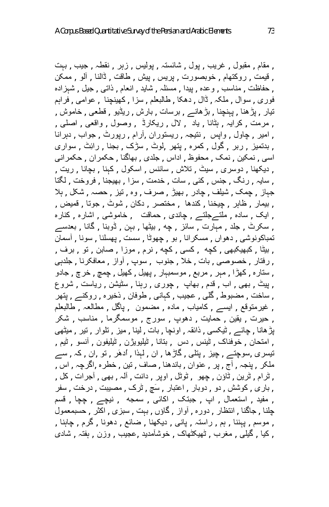, مقام , مقبول , غریب , پول , شائستہ , پولیس , زہر , نقطہ , جیب , بہت , قیمت , روکتھام , خوبصورت , پریس , پیش , طاقت , ڈالنا , آلو , ممکن , حفاظت , مناسب , وعدہ , پیدا , مسئلہ , شاید , انعام , ذاتی , جیل , شہزادہ فوری , سوال , ملکہ , ڈال , دھکا , طالبعلم , سزا , کھینچنا , عوامی , فراہم تیار , پڑھنا , پہنچنا , بڑھانے , برسات , بارش , ریڈیو , قطعی , خاموش , , مرمت , کرایہ , ہٹانا , یاد , لال , ریکارڈ , وصول , واقعی , اصلی , , امیر , چاول , واپس , نتیجہ , ریستوران ,آرام , رپورٹ , جواب , دہرانا , بدتمیز , ربر , گول , کمرہ , پتھر ,لوٹ , سڑک , بجنا , رائِٹ , سواری اسی , نمکین , نمک , محفوظ , اداس , جلدی , بھاگنا , حکمران , حکمرانی , دیکھنا , دوسری , سیٹ , تلاش , سائنس , اسکول , کہنا , بچانا , ریت , , سایہ , رنگ , جنس , کئی , سات , خدمت , سزا , بھیجنا , فروخت , لگتا جہاز , چمک , شیلف , چادر , بھیڑ , صرف , وہ , تیز , حصہ , شکل , ہلا , بیمار , ظاہر , چیخنا , کندھا , مختصر , دکان , شوٹ , جوتا , قمیض , , ایک , سادہ , ملتےجلتے , چاندی , حماقت , خاموشی , اشارہ , کنارہ , سکرٹ , جلد , مہارت , سائز , چھ , بیٹھا , بہن , ڈوبنا , گانا , بعدسے تمباکونوشی , دھواں , مسکرانا , بو , چھوٹا , سست , پھسلنا , سونا , آسمان , بیٹا , کبھیکبھی , کچھ , کسی , کچھ , نرم , موزا , صابن , تو , برف , , رفتار , خصوصی , بات , خلا , جنوب , سوپ , آواز , معافکرنا , جلدہی , ستارہ , کھڑا , مہر , مربع , موسمبہار , پھیل , کھیل , چمچ , خرچ , جادو , پیٹ , بھی , اب , قدم , بھاپ , چوری , رہنا , سٹیشن , ریاست , شروع , ساخت , مضبوط , گلی , عجیب , کہانی , طوفان , ذخیرہ , روکنے , پتھر , غیرمتوقع , ایسے , کامیاب , مادہ , مضمون , پاگل , مطالعہ , طالبعلم , حیرت , یقین , حمایت , دھوپ , سورج , موسمگرما , مناسب , شکر پڑھانا , چائے , ٹیکسی , ذائقہ , اونچا , بات , لینا , میز , تلوار , تیر , میٹھی , امتحان , خوفناک , ٹینس , دس , بتانا , ٹیلیویژن , ٹیلیفون , آنسو , ٹیم , تیسری ,سوچتے , چیز , پتلی , گاڑھا , ان , لہذا , اُدھَر , تو ,ان , کہ , سے ملکر , پنجہ , آج , پر , عنوان , باندھنا , صاف , تین , خطرہ ,اگرچہ , اس , , ٹرام , ٹرین , ٹاؤن , چھو , ٹوٹل , اوپر , دانت , آلہ , بھی , آجرات , کل , , باری , کوشش , دو , دوبار , اعتبار , سَچ , ٹرک , مصیبت , درخت , سفر , مفید , استعمال , اپ , جبتک , اکائی , سمجھ , نیچے , چچا , قسم چلنا , جاگنا , انتظار , دورہ , آواز , گاؤں , بہت , سبزی , اکثر , حسبمعمول , موسم , پہننا , ہم , راستہ , پانی , دیکھنا , ضائع , دھونا , گرم , چاہنا , , کیا , گیلی , مغرب , ٹھیکٹھاک , خوشآمدید ,عجیب , وزن , ہفتہ , شادی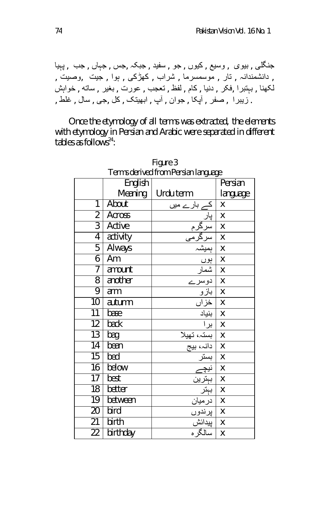جنگلی , بیوی , وسیع , کیوں , جو , سفید , جبکہ ,جس , جہاں , جب , پہیا , دانشمندانہ , تار , موسمسرما , شراب , کھڑکی , ہوا , جیت ,وصیت , لکھنا , بہتبرا ,فکر , دنیا , کام , لفظ , تعجب , عورت , بغیر , ساتھ , خواہش . زیبرا , صفر , آپکا , جوان , آپ , ابھیتک , کل ,جی , سال , غلط ,

Once the etymology of all terms was extracted, the elements with etymology in Persian and Arabic were separated in different tables as follows $24$ :

| Terms derived from Persian language |               |                                   |          |
|-------------------------------------|---------------|-----------------------------------|----------|
|                                     | English       |                                   | Persian  |
|                                     | Meaning       | Urdu term                         | language |
| 1                                   | About         | <sub>ے</sub> بار ے میں            | Χ        |
| $\overline{2}$                      | <b>Across</b> |                                   | Χ        |
| $\overline{3}$                      | Active        |                                   | Χ        |
| $\overline{4}$                      | activity      |                                   | X        |
| $\overline{5}$                      | <b>Always</b> | ېمېش                              | Χ        |
| 6                                   | Am            | ٻوں                               | Χ        |
| 7                                   | amount        |                                   | X        |
| $\overline{8}$                      | another       | ∠                                 | Χ        |
| 9                                   | arm           |                                   | Χ        |
| $\overline{10}$                     | autumn        | <u>بازو</u><br><u>خزاں</u>        | Χ        |
| $\overline{11}$                     | base          | بنياد                             | Χ        |
| $\overline{12}$                     | back          | برا                               | Χ        |
| $\overline{13}$                     | bag           | بستہ، تھیلا<br>دانہ، بیج          | Χ        |
| $\overline{14}$                     | bean          |                                   | X        |
| $\overline{15}$                     | bed           | بستر                              | Χ        |
| 16                                  | below         |                                   | X        |
| 17                                  | best          | نی <u>چے</u><br>بېترین            | X        |
| $\overline{18}$                     | better        | $\frac{1}{\sum\limits_{i=1}^{n}}$ | X        |
| $\overline{19}$                     | between       | در میان                           | X        |
| $\overline{20}$                     | bird          | پرندوں                            | Χ        |
| $\overline{21}$                     | birth         | پيدائش                            | X        |
| 22                                  | birthday      | تسالگره                           | X        |

Figure 3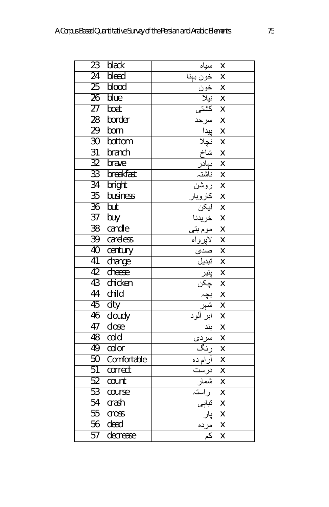| $\overline{23}$ | black       | سیاہ<br>خون بہنا<br>خون<br>نیلا                                                                                                                                                                                                     | Χ                         |
|-----------------|-------------|-------------------------------------------------------------------------------------------------------------------------------------------------------------------------------------------------------------------------------------|---------------------------|
| $\overline{24}$ | bleed       |                                                                                                                                                                                                                                     | X                         |
| $\overline{25}$ | blood       |                                                                                                                                                                                                                                     | X                         |
| $\overline{26}$ | blue        |                                                                                                                                                                                                                                     | $\boldsymbol{\mathsf{X}}$ |
| $\overline{27}$ | boat        | نبات المعلم<br>المعلم المعلم المعلم المعلم المعلم المعلم المعلم المعلم المعلم المعلم المعلم المعلم المعلم المعلم ا<br>المعلم المعلم المعلم المعلم المعلم المعلم المعلم المعلم المعلم المعلم المعلم المعلم المعلم المعلم المعلم المع | $\boldsymbol{\mathsf{X}}$ |
| 28              | border      |                                                                                                                                                                                                                                     | $\overline{\mathsf{x}}$   |
| 29              | born        |                                                                                                                                                                                                                                     | $\overline{\mathsf{X}}$   |
| $\overline{30}$ | bottom      |                                                                                                                                                                                                                                     | $\mathsf{\overline{X}}$   |
| $\overline{31}$ | branch      |                                                                                                                                                                                                                                     | $\mathsf{\overline{X}}$   |
| 32              | brave       |                                                                                                                                                                                                                                     | $\boldsymbol{\mathsf{X}}$ |
| $\overline{33}$ | breakfast   |                                                                                                                                                                                                                                     | $\overline{\mathsf{X}}$   |
| $\overline{34}$ | bright      |                                                                                                                                                                                                                                     | X                         |
| $\overline{35}$ | business    | <u>بہادر<br/>بہادر</u><br>روشن<br>کاروبار                                                                                                                                                                                           | $\mathsf{x}$              |
| $\overline{36}$ | but         |                                                                                                                                                                                                                                     | $\pmb{\mathsf{X}}$        |
| $\overline{37}$ | buy         | <u>ليكن<br/>الميكن<br/>اهوم بتى</u>                                                                                                                                                                                                 | $\mathsf{\overline{X}}$   |
| $\overline{38}$ | candle      |                                                                                                                                                                                                                                     | $\boldsymbol{\mathsf{X}}$ |
| 39              | careless    |                                                                                                                                                                                                                                     | $\boldsymbol{\mathsf{X}}$ |
| 40              | century     | کارواہ<br>کاپرواہ<br>کاپریا<br>انبلیا پنجاب<br>کہاکہ                                                                                                                                                                                | $\boldsymbol{\mathsf{X}}$ |
| 41              | change      |                                                                                                                                                                                                                                     | $\mathsf{x}$              |
| 42              | cheese      |                                                                                                                                                                                                                                     | $\mathsf{\overline{X}}$   |
| 43              | chicken     |                                                                                                                                                                                                                                     | X                         |
| 44              | child       | بچہ<br>شہر<br>ابر آلود                                                                                                                                                                                                              | $\overline{\mathsf{x}}$   |
| 45              | city        |                                                                                                                                                                                                                                     | X                         |
| 46              | cloudy      |                                                                                                                                                                                                                                     | $\overline{\mathsf{x}}$   |
| 47              | close       | بند                                                                                                                                                                                                                                 | X                         |
| 48              | cold        | سرد <i>ى</i>                                                                                                                                                                                                                        | $\mathsf{x}$              |
| 49              | color       | رنگ                                                                                                                                                                                                                                 | $\mathsf{x}$              |
| 50              | Comfortable | أرام ده                                                                                                                                                                                                                             | $\mathsf{x}$              |
| $\overline{51}$ | correct     | درست<br>نوست<br>شمار                                                                                                                                                                                                                | $\mathsf{\overline{X}}$   |
| 52              | count       |                                                                                                                                                                                                                                     | $\overline{\mathsf{X}}$   |
| 53              | course      |                                                                                                                                                                                                                                     | $\mathsf{x}$              |
| 54              | crash       | تباہی                                                                                                                                                                                                                               | X                         |
| 55              | cross       | پار                                                                                                                                                                                                                                 | $\mathsf{X}$              |
| 56              | dead        | مرده                                                                                                                                                                                                                                | $\pmb{\chi}$              |
| 57              | decrease    | $\overline{\mathcal{Z}}$                                                                                                                                                                                                            | X                         |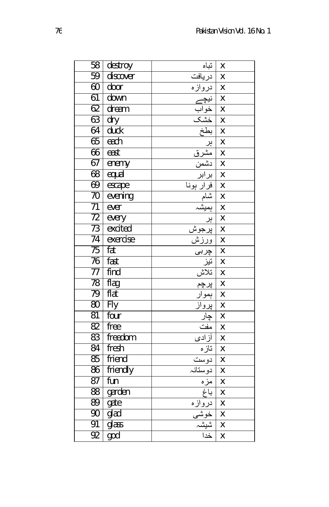| 58              | destroy          | تباه                                                                      | Χ                         |
|-----------------|------------------|---------------------------------------------------------------------------|---------------------------|
| 59              | discover         | دريافت                                                                    | Χ                         |
| 60              | door             | دروازه                                                                    | $\mathsf{x}$              |
| 61              | down             |                                                                           | X                         |
| 62              | dream            |                                                                           | $\overline{\mathsf{x}}$   |
| 63              | $\overline{dry}$ |                                                                           | X                         |
| 64              | duck             |                                                                           | X                         |
| 65              | each             |                                                                           | X                         |
| 66              | east             |                                                                           | X                         |
| 67              | enemy            |                                                                           | X                         |
| 68              | equal            |                                                                           | X                         |
| 69              | escape           |                                                                           | X                         |
| $\overline{70}$ | evening          |                                                                           | $\overline{\mathsf{x}}$   |
| $\overline{71}$ | ever             |                                                                           | X                         |
| $\overline{72}$ | every            |                                                                           | X                         |
| 73              | excited          |                                                                           | X                         |
| 74              | exercise         |                                                                           | X                         |
| $\overline{75}$ | fat              |                                                                           | X                         |
| 76              | fast             |                                                                           | $\mathsf{x}$              |
| 77              | find             | <u>چربی</u><br>نن <u>ز</u><br>نلاش<br>پویار<br>پویار                      | $\boldsymbol{\mathsf{X}}$ |
| 78              | flag             |                                                                           | X                         |
| 79              | flat             |                                                                           | X                         |
| 80              | Fly              |                                                                           | X                         |
| 81              | four             | <u>پور<br/>چار</u><br>مفت                                                 | X                         |
| 82              | free             |                                                                           | $\overline{\mathsf{X}}$   |
| $\overline{83}$ | freedom          |                                                                           | $\mathsf{\overline{X}}$   |
| 84              | fresh            |                                                                           | $\overline{\mathsf{x}}$   |
| 85              | friend           |                                                                           | X                         |
| 86              | friendly         |                                                                           | X                         |
| 87              | fun              |                                                                           | X                         |
| 88              | garden           |                                                                           | X                         |
| 89              | gate             |                                                                           | X                         |
| $\overline{90}$ | glad             |                                                                           | $\boldsymbol{\mathsf{X}}$ |
| 91              | glass            |                                                                           | $\boldsymbol{\mathsf{X}}$ |
| 92              | god              | آزادی<br>آنازه<br>اعراضا<br>مغرافی ایران<br>اغرافی ایران<br>اغلبا<br>اغدا | $\overline{\mathsf{x}}$   |
|                 |                  |                                                                           |                           |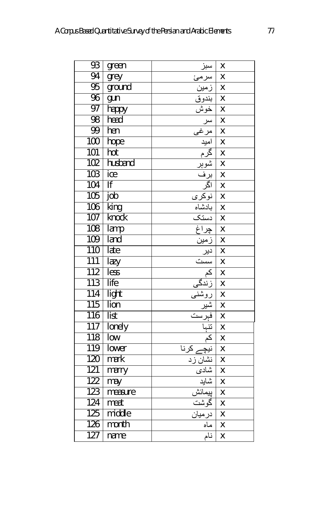| 93               | green                      | سبز                                                                                                                                                    | Χ                         |
|------------------|----------------------------|--------------------------------------------------------------------------------------------------------------------------------------------------------|---------------------------|
| 94               | $grey$                     | س <u>ر</u> مئ                                                                                                                                          | X                         |
| 95               | ground                     | ِ<br>رَم <u>ين</u>                                                                                                                                     | X                         |
| 96               | gun                        |                                                                                                                                                        | X                         |
| 97               | happy                      |                                                                                                                                                        | X                         |
| 98               | head                       |                                                                                                                                                        | $\boldsymbol{\mathsf{X}}$ |
| 99               | hen                        | ب <u>ندوق بدوق</u><br><u>الملا مل</u><br>الملا ملا ملا<br>الملا بالملا<br>الملا بالملا<br>الملا بالملا<br>الملا بالملا<br>الملا بالملا<br>الملا بالملا | X                         |
| 100              | hope                       |                                                                                                                                                        | $\overline{\mathsf{x}}$   |
| 101              | hot                        |                                                                                                                                                        | X                         |
| 102              | husband                    |                                                                                                                                                        | X                         |
| 103              | ice                        |                                                                                                                                                        | X                         |
| 104              | lf                         |                                                                                                                                                        | X                         |
| 105              | job                        | نوکری<br>بادشاہ                                                                                                                                        | X                         |
| 106              | $\overline{\mathsf{king}}$ |                                                                                                                                                        | X                         |
| 107              | knock                      | دستک                                                                                                                                                   | X                         |
| 108              | lamp                       | <u>چراغ</u>                                                                                                                                            | X                         |
| 109              | land                       | <u>زمین</u>                                                                                                                                            | χ                         |
| 110              | late                       |                                                                                                                                                        | X                         |
| 111              | lazy                       |                                                                                                                                                        | X                         |
| 112              | less                       | <u>دیر<br/>املین</u><br>کم<br>زندگی                                                                                                                    | X                         |
| 113              | life                       |                                                                                                                                                        | $\overline{\mathsf{X}}$   |
| 114              | light                      | رسمی<br>روشن <u>ی</u><br>شیر<br>نم ست<br>کم                                                                                                            | $\overline{\mathsf{X}}$   |
| 115              | <b>Tion</b>                |                                                                                                                                                        | X                         |
| 116              | list                       |                                                                                                                                                        | X                         |
| 117              | lonely                     |                                                                                                                                                        | X                         |
| 118              | low                        |                                                                                                                                                        | X                         |
| 119              | <b>Tower</b>               | نيچ<br>ے کرنا                                                                                                                                          | X                         |
| 120              | mark                       | _______________<br>نشا <u>ن ز</u> د                                                                                                                    | X                         |
| 121              | marry                      |                                                                                                                                                        | $\overline{\mathsf{x}}$   |
| 122              | may                        |                                                                                                                                                        | X                         |
| 123              | measure                    | <u>ی تی<br/>شادی</u><br>پیمائش                                                                                                                         | X                         |
| 124              | meat                       |                                                                                                                                                        | X                         |
| 125              | middle                     | ن<br>گوشت<br>درمیان                                                                                                                                    | X                         |
| 126              | month                      | كماه                                                                                                                                                   | X                         |
| $\overline{127}$ | name                       | نام                                                                                                                                                    | X                         |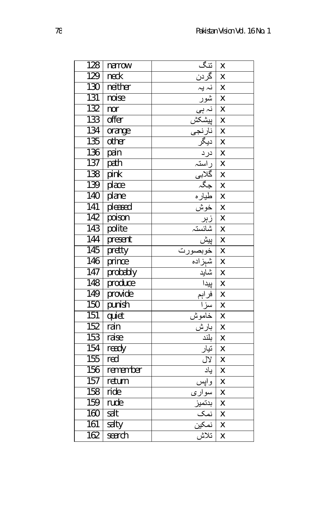| 128              | narrow   | تنگ                                                                                                                                                                                                                              | X                       |
|------------------|----------|----------------------------------------------------------------------------------------------------------------------------------------------------------------------------------------------------------------------------------|-------------------------|
| 129              | neck     | گرد <u>ن</u>                                                                                                                                                                                                                     | X                       |
| 130              | neither  | نہ یہ                                                                                                                                                                                                                            | X                       |
| 131              | noise    | شور                                                                                                                                                                                                                              | X                       |
| 132              | nor      |                                                                                                                                                                                                                                  | $\overline{\mathsf{x}}$ |
| 133              | offer    |                                                                                                                                                                                                                                  | X                       |
| 134              | orange   |                                                                                                                                                                                                                                  | X                       |
| 135              | other    |                                                                                                                                                                                                                                  | X                       |
| 136              | pain     |                                                                                                                                                                                                                                  | X                       |
| 137              | path     |                                                                                                                                                                                                                                  | X                       |
| 138              | pink     |                                                                                                                                                                                                                                  | $\overline{\mathsf{x}}$ |
| 139              | place    | : ابن المعلم المعلم المعلم المعلم المعلم المعلم المعلم المعلم المعلم المعلم المعلم المعلم المعلم المعلم المعلم<br>المعلم المعلم المعلم المعلم المعلم المعلم المعلم المعلم المعلم المعلم المعلم المعلم المعلم المعلم المعلم المعل | X                       |
| 140              | plane    |                                                                                                                                                                                                                                  | $\overline{\mathsf{x}}$ |
| 141              | pleased  |                                                                                                                                                                                                                                  | X                       |
| 142              | poison   |                                                                                                                                                                                                                                  | X                       |
| 143              | polite   |                                                                                                                                                                                                                                  | X                       |
| 144              | present  |                                                                                                                                                                                                                                  | $\overline{\mathsf{x}}$ |
| 145              | pretty   |                                                                                                                                                                                                                                  | X                       |
| 146              | prince   |                                                                                                                                                                                                                                  | X                       |
| 147              | probably |                                                                                                                                                                                                                                  | X                       |
| 148              | produce  |                                                                                                                                                                                                                                  | X                       |
| 149              | provide  | فراہم                                                                                                                                                                                                                            | X                       |
| 150              | punish   |                                                                                                                                                                                                                                  | X                       |
| $\overline{151}$ | quiet    |                                                                                                                                                                                                                                  | X                       |
| 152              | rain     | ه ۱۰۰<br>سنزا<br>بارش<br>بلند                                                                                                                                                                                                    | $\overline{\mathsf{x}}$ |
| $\overline{153}$ | raise    |                                                                                                                                                                                                                                  | $\mathsf{x}$            |
| 154              | ready    | تيار                                                                                                                                                                                                                             | $\overline{\mathsf{x}}$ |
| 155              | red      | <u>لال</u>                                                                                                                                                                                                                       | X                       |
| 156              | remember | ياد                                                                                                                                                                                                                              | X                       |
| 157              | return   | ۔<br>وا <u>یس</u>                                                                                                                                                                                                                | X                       |
| 158              | ride     | سواري                                                                                                                                                                                                                            | X                       |
| 159              | rude     | <u>بدتمیز<br/>نمک</u><br><u>نمکین</u>                                                                                                                                                                                            | X                       |
| 160              | salt     |                                                                                                                                                                                                                                  | X                       |
| $\overline{161}$ | salty    |                                                                                                                                                                                                                                  | X                       |
| 162              | search   | تلاش                                                                                                                                                                                                                             | $\overline{\mathsf{x}}$ |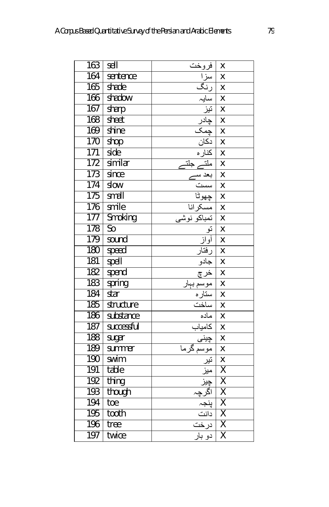| 163 | sell                   | فروخت                                                | Χ                       |
|-----|------------------------|------------------------------------------------------|-------------------------|
| 164 | sentence               |                                                      | Χ                       |
| 165 | shade                  |                                                      | X                       |
| 166 | shadow                 |                                                      | $\mathsf{\overline{X}}$ |
| 167 | sharp                  |                                                      | $\overline{\mathsf{x}}$ |
| 168 | sheet                  | رنگ<br>سایہ<br>نیز<br>چمک<br>کان ہ<br>نکارہ<br>نکارہ | X                       |
| 169 | shine                  |                                                      | $\overline{\mathsf{x}}$ |
| 170 | shop                   |                                                      | X                       |
| 171 | side                   |                                                      | X                       |
| 172 | similar                | ٦I.                                                  | X                       |
| 173 | since                  |                                                      | X                       |
| 174 | slow                   | سست<br>جهو <del>ئ</del> ا                            | $\mathsf{x}$            |
| 175 | small                  |                                                      | $\overline{\mathsf{x}}$ |
| 176 | smile                  |                                                      | X                       |
| 177 | Smoking                |                                                      | X                       |
| 178 | $\overline{\text{So}}$ |                                                      | X                       |
| 179 | sound                  | أواز                                                 | X                       |
| 180 | speed                  | رفتار                                                | X                       |
| 181 | spell                  | جادو                                                 | X                       |
| 182 | spend                  | <u>خر چ</u>                                          | X                       |
| 183 | spring                 |                                                      | X                       |
| 184 | star                   |                                                      | X                       |
| 185 | structure              |                                                      | X                       |
| 186 | substance              | ماده                                                 | X                       |
| 187 | successful             | <mark>کامیاب</mark><br>چین <i>ی</i>                  | X                       |
| 188 | sugar                  |                                                      | X                       |
| 189 | summer                 |                                                      | $\overline{\mathsf{x}}$ |
| 190 | swim                   |                                                      | $\overline{\mathsf{x}}$ |
| 191 | table                  |                                                      | $\overline{\mathsf{x}}$ |
| 192 | thing                  |                                                      | $\overline{\mathsf{X}}$ |
| 193 | though                 |                                                      | $\overline{\mathsf{X}}$ |
| 194 | toe                    | پنجہ                                                 | χ                       |
| 195 | tooth                  |                                                      | $\overline{\mathsf{x}}$ |
| 196 | tree                   |                                                      | $\overline{\mathsf{X}}$ |
| 197 | twice                  | دو بار                                               | $\overline{\mathsf{x}}$ |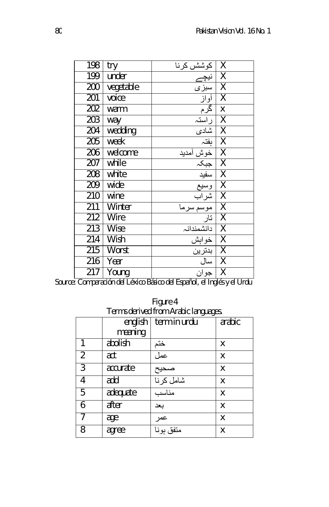| 198              | try         | كوشش كرنآ  | Χ                       |
|------------------|-------------|------------|-------------------------|
| 199              | under       |            | $\overline{\mathsf{x}}$ |
| 200              | vegetable   | سبزى       | $\overline{\mathsf{X}}$ |
| 201              | voice       | أواز       | $\overline{\mathsf{x}}$ |
| $\overline{202}$ | warm        | <u>گرم</u> | X                       |
| 203              | way         | راستہ      | $\overline{\mathsf{X}}$ |
| 204              | wedding     | شادى       | $\overline{\mathsf{X}}$ |
| 205              | week        | بفتہ       | $\overline{\mathsf{X}}$ |
| 206              | welcome     | خوش أمديد  | $\overline{\mathsf{X}}$ |
| 207              | while       | جبكہ       | $\overline{\mathsf{X}}$ |
| 208              | white       | سفيد       | $\overline{\mathsf{X}}$ |
| 209              | wide        | وسيع       | $\overline{\mathsf{X}}$ |
| 210              | wine        | آشراب      | $\overline{\mathsf{X}}$ |
| $\overline{211}$ | Winter      | موسم سرما  | $\overline{\mathsf{X}}$ |
| 212              | Wire        | تار        | $\overline{\mathsf{X}}$ |
| 213              | <b>Wise</b> | دانشمندانہ | $\overline{\mathsf{X}}$ |
| 214              | Wish        | خوابش      | $\overline{\mathsf{X}}$ |
| $\overline{215}$ | Worst       | بدترين     | $\overline{\mathsf{X}}$ |
| 216              | Year        | سال        | $\overline{\mathsf{X}}$ |
| $\overline{217}$ | Young       | جوان       | $\overline{\mathsf{X}}$ |

Source: Comparación del Léxico Básico del Español, el Inglés y el Urdu

| Figure 4                             |  |
|--------------------------------------|--|
| Terms derived from Arabic languages. |  |

|                | english  | term in urdu      | arabic |
|----------------|----------|-------------------|--------|
|                | meaning  |                   |        |
| 1              | abolish  | ختم               | X      |
| $\overline{2}$ | act      | عمل               | X      |
| 3              | accurate |                   | X      |
| 4              | add      | صحیح<br>شامل کرنا | X      |
| 5              | adequate | مناسب             | X      |
| 6              | after    | بعد               | X      |
|                | age      | عمر               | X      |
| 8              | agree    | متفق بونا         | X      |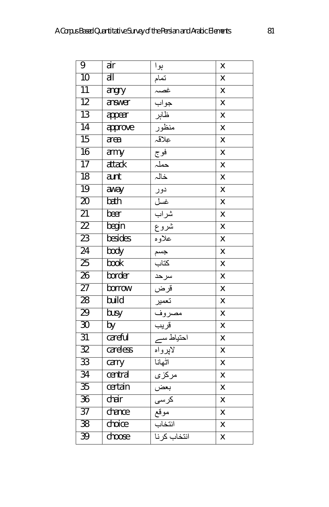| 9               | air                       | ٻوا                                                                                                                                                                                                                           | Χ                       |
|-----------------|---------------------------|-------------------------------------------------------------------------------------------------------------------------------------------------------------------------------------------------------------------------------|-------------------------|
| 10              | $\overline{\mathsf{all}}$ |                                                                                                                                                                                                                               | X                       |
| $\overline{11}$ | angry                     |                                                                                                                                                                                                                               | X                       |
| 12              | answer                    |                                                                                                                                                                                                                               | X                       |
| $\overline{13}$ | appear                    |                                                                                                                                                                                                                               | X                       |
| 14              | approve                   |                                                                                                                                                                                                                               | X                       |
| $\overline{15}$ | area                      |                                                                                                                                                                                                                               | X                       |
| $\overline{16}$ | army                      |                                                                                                                                                                                                                               | X                       |
| 17              | attack                    |                                                                                                                                                                                                                               | X                       |
| 18              | aunt                      |                                                                                                                                                                                                                               | X                       |
| 19              | away                      |                                                                                                                                                                                                                               | X                       |
| $\overline{20}$ | bath                      |                                                                                                                                                                                                                               | X                       |
| $\overline{21}$ | beer                      |                                                                                                                                                                                                                               | X                       |
| $\overline{22}$ | begin                     |                                                                                                                                                                                                                               | Χ                       |
| 23              | besides                   |                                                                                                                                                                                                                               | X                       |
| $\overline{24}$ | body                      | أهداف المعاشرة المعاشرة المعاشرة المعاشرة المعاشرة المعاشرة المعاشرة المعاشرة المعاشرة المعاشرة المعاشرة المعاشرة المعاشرة المعاشرة المعاشرة المعاشرة المعاشرة المعاشرة المعاشرة المعاشرة المعاشرة المعاشرة المعاشرة المعاشرة | X                       |
| 25              | <b>book</b>               |                                                                                                                                                                                                                               | X                       |
| $\overline{26}$ | border                    |                                                                                                                                                                                                                               | X                       |
| $\overline{27}$ | borrow                    |                                                                                                                                                                                                                               | X                       |
| 28              | build                     |                                                                                                                                                                                                                               | X                       |
| 29              | busy                      |                                                                                                                                                                                                                               | X                       |
| 30              | by                        |                                                                                                                                                                                                                               | X                       |
| 31              | careful                   |                                                                                                                                                                                                                               | Χ                       |
| $\overline{32}$ | careless                  |                                                                                                                                                                                                                               | X                       |
| $\overline{33}$ | carry                     | اثهانا                                                                                                                                                                                                                        | $\overline{\mathsf{x}}$ |
| 34              | central                   | مركزى                                                                                                                                                                                                                         | X                       |
| $\overline{35}$ | certain                   |                                                                                                                                                                                                                               | X                       |
| $\overline{36}$ | chair                     |                                                                                                                                                                                                                               | X                       |
| $\overline{37}$ | chance                    | <u>د د -</u><br>بعض<br>کرسی<br>موقع                                                                                                                                                                                           | X                       |
| 38              | choice                    | انتخاب                                                                                                                                                                                                                        | X                       |
| $\overline{39}$ | choose                    | <mark>انتخاب كرنا</mark>                                                                                                                                                                                                      | X                       |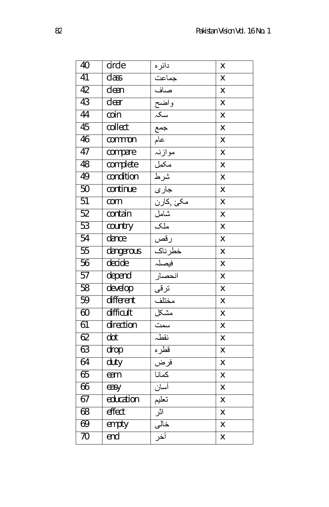| 40 | circle    | دائر ه                                                                                                                                                                                                                        | X                       |
|----|-----------|-------------------------------------------------------------------------------------------------------------------------------------------------------------------------------------------------------------------------------|-------------------------|
| 41 | class     | جماعت                                                                                                                                                                                                                         | X                       |
| 42 | clean     |                                                                                                                                                                                                                               | X                       |
| 43 | clear     |                                                                                                                                                                                                                               | X                       |
| 44 | coin      |                                                                                                                                                                                                                               | X                       |
| 45 | collect   |                                                                                                                                                                                                                               | X                       |
| 46 | common    |                                                                                                                                                                                                                               | X                       |
| 47 | compare   |                                                                                                                                                                                                                               | $\overline{\mathsf{x}}$ |
| 48 | complete  |                                                                                                                                                                                                                               | $\overline{\mathsf{x}}$ |
| 49 | condition |                                                                                                                                                                                                                               | X                       |
| 50 | continue  |                                                                                                                                                                                                                               | X                       |
| 51 | corn      |                                                                                                                                                                                                                               | X                       |
| 52 | contain   |                                                                                                                                                                                                                               | X                       |
| 53 | country   |                                                                                                                                                                                                                               | X                       |
| 54 | dance     |                                                                                                                                                                                                                               | X                       |
| 55 | dangerous |                                                                                                                                                                                                                               | X                       |
| 56 | decide    |                                                                                                                                                                                                                               | X                       |
| 57 | depend    |                                                                                                                                                                                                                               | X                       |
| 58 | develop   |                                                                                                                                                                                                                               | X                       |
| 59 | different |                                                                                                                                                                                                                               | X                       |
| 60 | difficult |                                                                                                                                                                                                                               | X                       |
| 61 | direction |                                                                                                                                                                                                                               | X                       |
| 62 | dot       |                                                                                                                                                                                                                               | X                       |
| 63 | drop      |                                                                                                                                                                                                                               | X                       |
| 64 | duty      | أساس الله عليه الله عليه الله عليه الله عليه الله عليه الله عليه الله عليه الله عليه الله عليه الله عليه الله عليه الله عليه الله عليه الله عليه الله عليه الله عليه الله عليه الله عليه الله عليه الله عليه الله عليه الله ع | X                       |
| 65 | earn      |                                                                                                                                                                                                                               | X                       |
| 66 | easy      | أسان                                                                                                                                                                                                                          | X                       |
| 67 | education | تعلیم<br>آثر<br>خال <sub>ی</sub>                                                                                                                                                                                              | X                       |
| 68 | effect    |                                                                                                                                                                                                                               | X                       |
| 69 | empty     |                                                                                                                                                                                                                               | X                       |
| 70 | end       | أخر                                                                                                                                                                                                                           | X                       |
|    |           |                                                                                                                                                                                                                               |                         |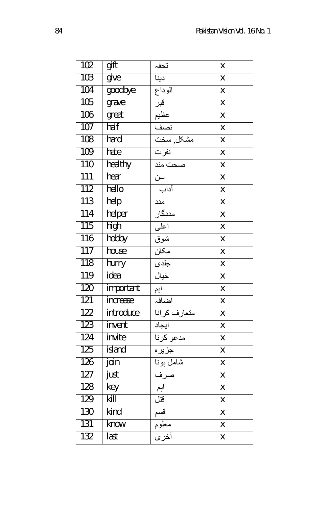| 102 | gift      | تحفہ                | X                       |
|-----|-----------|---------------------|-------------------------|
| 103 | give      | دينا                | X                       |
| 104 | goodbye   | الوداع              | X                       |
| 105 | grave     | قبر                 | X                       |
| 106 | great     |                     | X                       |
| 107 | half      |                     | $\overline{\mathsf{x}}$ |
| 108 | hard      |                     | X                       |
| 109 | hate      | نفرت<br>صحت مند     | X                       |
| 110 | healthy   |                     | X                       |
| 111 | hear      | ____<br>سن          | X                       |
| 112 | hello     | أداب                | X                       |
| 113 | help      | مند                 | X                       |
| 114 | helper    | مددگار              | X                       |
| 115 | high      | اعلى                | X                       |
| 116 | hobby     | شوق                 | X                       |
| 117 | house     | مكان                | X                       |
| 118 | hurry     | جلدى                | X                       |
| 119 | idea      | خيال                | X                       |
| 120 | important | اہم                 | X                       |
| 121 | increase  | اضافہ               | X                       |
| 122 | introduce | متعارف كرانا        | X                       |
| 123 | invent    | ايجاد               | X                       |
| 124 | invite    | مدعو كرنا           | X                       |
| 125 | island    | جزيره               | X                       |
| 126 | join      | شامل بونا<br>صرف    | X                       |
| 127 | just      |                     | X                       |
| 128 | key       | ِ<br>اہم            | X                       |
| 129 | kill      |                     | X                       |
| 130 | kind      |                     | X                       |
| 131 | know      | قتل<br>قسم<br>معلوم | X                       |
| 132 | last      |                     | X                       |
|     |           |                     |                         |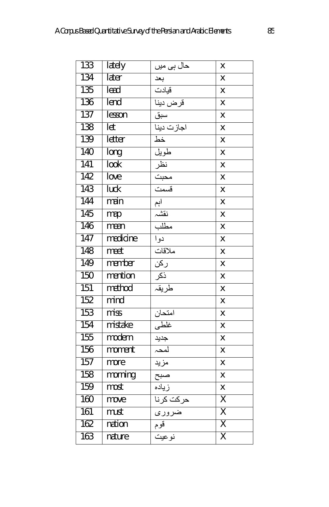| 133 | <b>lately</b> | حال ہی میں                      | Χ                         |
|-----|---------------|---------------------------------|---------------------------|
| 134 | later         | بعد                             | Χ                         |
| 135 | lead          | قيادت                           | X                         |
| 136 | lend          | قرض دينا                        | Χ                         |
| 137 | lesson        | سبق                             | X                         |
| 138 | let           | اجازت دینا                      | X                         |
| 139 | letter        | خط                              | X                         |
| 140 | long          | طويل                            | X                         |
| 141 | look          |                                 | X                         |
| 142 | love          | فنطل<br>محبت<br>قسمت<br>إم      | X                         |
| 143 | luck          |                                 | X                         |
| 144 | main          |                                 | X                         |
| 145 | map           | نقشہ<br>مطلب                    | X                         |
| 146 | mean          |                                 | X                         |
| 147 | medicine      | دوا                             | X                         |
| 148 | meet          | ملاقات                          | Χ                         |
| 149 | member        | <u>ر کن</u>                     | X                         |
| 150 | mention       | ____<br>ذکر<br>طریقہ            | X                         |
| 151 | method        |                                 | Χ                         |
| 152 | mind          |                                 | X                         |
| 153 | miss          | امتحان<br>-                     | $\boldsymbol{\mathsf{X}}$ |
| 154 | mistake       | غلطى                            | $\boldsymbol{\mathsf{X}}$ |
| 155 | modern        | جنید<br>امحہ<br>مزید<br>صبح     | X                         |
| 156 | moment        |                                 | X                         |
| 157 | more          |                                 | X                         |
| 158 | morning       |                                 | X                         |
| 159 | most          | زياده                           | X                         |
| 160 | move          |                                 | $\overline{\mathsf{X}}$   |
| 161 | must          | <mark>حرکت کرنا</mark><br>ضروری | $\overline{\mathsf{X}}$   |
| 162 | nation        | قوم                             | $\overline{\mathsf{x}}$   |
| 163 | nature        | نوعيت                           | $\overline{\mathsf{X}}$   |
|     |               |                                 |                           |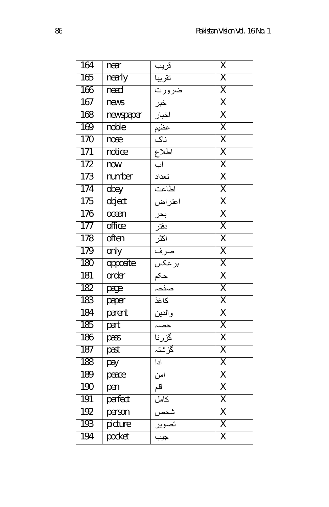| 164 | near      | قريب                                  | $\overline{\mathsf{X}}$ |
|-----|-----------|---------------------------------------|-------------------------|
| 165 | nearly    | تقريبا                                | $\overline{\mathsf{X}}$ |
| 166 | need      | ضرورت                                 | $\overline{\mathsf{X}}$ |
| 167 | news      | خبر                                   | $\overline{\mathsf{x}}$ |
| 168 | newspaper |                                       | $\overline{\mathsf{X}}$ |
| 169 | noble     | اخبار<br>عظیم                         | $\overline{\sf X}$      |
| 170 | nose      | ناک                                   | $\overline{\mathsf{x}}$ |
| 171 | notice    | اطلاع                                 | $\overline{\mathsf{X}}$ |
| 172 | now       | اب                                    | $\overline{\mathsf{X}}$ |
| 173 | number    | تعداد                                 | $\overline{\mathsf{X}}$ |
| 174 | obey      | اطاعت                                 | $\overline{\sf X}$      |
| 175 | object    | اعتراض                                | $\overline{\mathsf{X}}$ |
| 176 | ocean     | <u>- - -</u><br>بحر<br>انڈز<br>اسرف   | $\overline{\mathsf{X}}$ |
| 177 | office    |                                       | $\overline{\mathsf{X}}$ |
| 178 | often     |                                       | $\overline{\sf X}$      |
| 179 | only      |                                       | $\overline{\sf X}$      |
| 180 | opposite  |                                       | $\overline{\mathsf{x}}$ |
| 181 | order     |                                       | $\overline{\mathsf{X}}$ |
| 182 | page      |                                       | $\overline{\sf X}$      |
| 183 | paper     | كاغذ                                  | $\overline{\sf X}$      |
| 184 | parent    | والدين                                | $\overline{\mathsf{X}}$ |
| 185 | part      | $\overline{\phantom{0}}$              | $\overline{\mathsf{X}}$ |
| 186 | pass      | گزرنا                                 | $\overline{\mathsf{X}}$ |
| 187 | past      | گزشتہ                                 | $\overline{\sf X}$      |
| 188 | pay       | ادا                                   | $\overline{\mathsf{X}}$ |
| 189 | peace     | امن                                   | $\overline{\mathsf{X}}$ |
| 190 | pen       | قلم                                   | $\overline{\mathsf{x}}$ |
| 191 | perfect   | كمال                                  | $\overline{\sf X}$      |
| 192 | person    |                                       | $\overline{\mathsf{X}}$ |
| 193 | picture   |                                       | $\overline{\sf X}$      |
| 194 | pocket    | شخص<br>تصویر<br><del>جیب</del><br>جیب | $\overline{\sf X}$      |
|     |           |                                       |                         |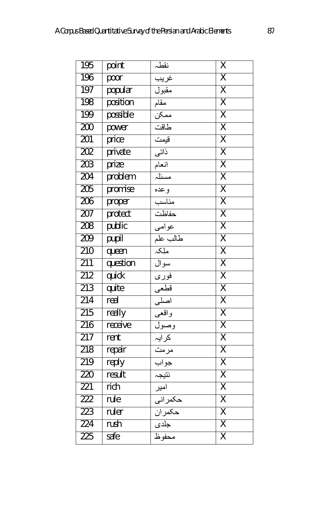| 195 | point    | نقطہ                       | Χ                       |
|-----|----------|----------------------------|-------------------------|
| 196 | poor     | غريب                       | $\overline{\mathsf{X}}$ |
| 197 | popular  | مقبول                      | $\overline{\mathsf{X}}$ |
| 198 | position | مقام                       | $\overline{\mathsf{X}}$ |
| 199 | possible | ممكن                       | $\overline{\sf X}$      |
| 200 | power    | طاقت                       | $\overline{\sf X}$      |
| 201 | price    | قيمت                       | $\overline{\sf X}$      |
| 202 | private  | ذاتى                       | $\overline{\mathsf{X}}$ |
| 203 | prize    | انعام                      | $\overline{\mathsf{X}}$ |
| 204 | problem  | مسئلہ                      | $\overline{\sf X}$      |
| 205 | promise  | وعده                       | $\overline{\sf X}$      |
| 206 | proper   | مناسب                      | $\overline{\mathsf{X}}$ |
| 207 | protect  | حفاظت                      | $\overline{\mathsf{X}}$ |
| 208 | public   | عوامي                      | $\overline{\mathsf{X}}$ |
| 209 | pupil    | طالب علم                   | $\overline{\mathsf{X}}$ |
| 210 | queen    | َمْلَكُہ                   | $\overline{\sf X}$      |
| 211 | question | سوال                       | χ                       |
| 212 | quick    | <u>۔</u><br><u>فور</u> ی   | $\overline{\mathsf{X}}$ |
| 213 | quite    | <u>۔۔۔</u><br>قطعی<br>اصلی | $\overline{\mathsf{X}}$ |
| 214 | real     |                            | $\overline{\mathsf{X}}$ |
| 215 | really   | واقعي                      | $\overline{\mathsf{X}}$ |
| 216 | receive  | وصول                       | $\overline{\mathsf{X}}$ |
| 217 | rent     | کرایہ                      | $\overline{\mathsf{X}}$ |
| 218 | repair   | مرمت                       | $\overline{\mathsf{X}}$ |
| 219 | reply    | جواب                       | $\overline{\sf X}$      |
| 220 | result   | نتيجہ                      | $\overline{\mathsf{X}}$ |
| 221 | rich     | آمیر                       | $\overline{\mathsf{X}}$ |
| 222 | rule     | حكمراني                    | $\overline{\mathsf{X}}$ |
| 223 | ruler    | حكمران                     | $\overline{\sf X}$      |
| 224 | rush     | جلدى                       | $\overline{\mathsf{X}}$ |
| 225 | safe     | محفوظ                      | $\overline{\mathsf{x}}$ |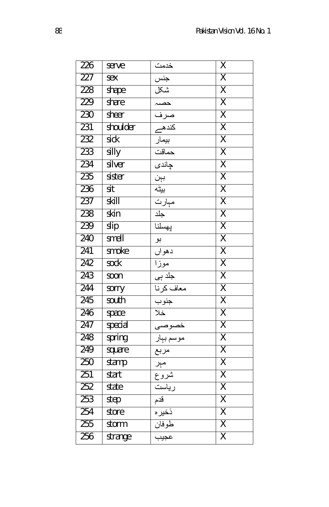| 226 | serve    | خدمت                                       | $\overline{\mathsf{X}}$ |
|-----|----------|--------------------------------------------|-------------------------|
| 227 | sex      | جنس                                        | $\overline{\mathsf{X}}$ |
| 228 | shape    |                                            | $\overline{\mathsf{X}}$ |
| 229 | share    |                                            | $\overline{\mathsf{X}}$ |
| 230 | sheer    |                                            | $\overline{\mathsf{X}}$ |
| 231 | shoulder |                                            | $\overline{\mathsf{X}}$ |
| 232 | sick     |                                            | $\overline{\mathsf{X}}$ |
| 233 | silly    |                                            | $\overline{\mathsf{X}}$ |
| 234 | silver   |                                            | $\overline{\mathsf{X}}$ |
| 235 | sister   |                                            | $\overline{\mathsf{X}}$ |
| 236 | sit      |                                            | $\overline{\mathsf{X}}$ |
| 237 | skill    | مہارت<br>حلد<br>پھسلنا                     | $\overline{\mathsf{X}}$ |
| 238 | skin     |                                            | $\overline{\mathsf{X}}$ |
| 239 | slip     |                                            | $\overline{\mathsf{X}}$ |
| 240 | smell    | بو                                         | $\overline{\mathsf{X}}$ |
| 241 | smoke    | دهوان                                      | $\overline{\mathsf{X}}$ |
| 242 | sock     | موزا                                       | $\overline{\mathsf{X}}$ |
| 243 | 500n     | جلد ہی                                     | $\overline{\mathsf{X}}$ |
| 244 | sorry    | معاف كرنا                                  | $\overline{\mathsf{X}}$ |
| 245 | south    | جنوب                                       | $\overline{\mathsf{X}}$ |
| 246 | space    | خلا                                        | $\overline{\sf X}$      |
| 247 | special  |                                            | $\overline{\mathsf{X}}$ |
| 248 | spring   |                                            | $\overline{\mathsf{X}}$ |
| 249 | square   |                                            | $\overline{\mathsf{X}}$ |
| 250 | stamp    | خصوصی<br>موسم بہار<br>مربع<br>شروع<br>شروع | $\overline{\mathsf{X}}$ |
| 251 | start    |                                            | $\overline{\mathsf{X}}$ |
| 252 | state    | ریاست                                      | $\overline{\mathsf{X}}$ |
| 253 | step     | قدم                                        | $\overline{\mathsf{X}}$ |
| 254 | store    | ذخیرہ<br>طوفان<br>عجیب                     | $\overline{\mathsf{X}}$ |
| 255 | storm    |                                            | $\overline{\mathsf{X}}$ |
| 256 | strange  |                                            | $\overline{\mathsf{X}}$ |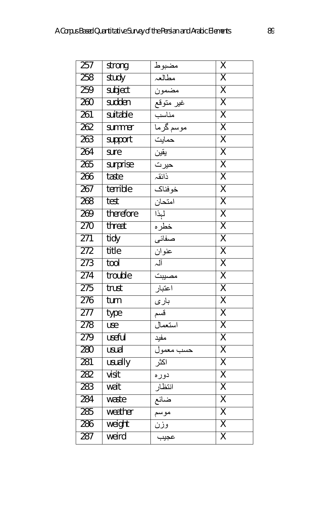| 257 | strong    |                          | $\overline{\mathsf{X}}$ |
|-----|-----------|--------------------------|-------------------------|
| 258 | study     | مضبوط<br>مطالعہ<br>مضمون | $\overline{\mathsf{X}}$ |
| 259 | subject   |                          | $\overline{\mathsf{X}}$ |
| 260 | sudden    | ۔<br>غیر متوقع           | $\overline{\mathsf{X}}$ |
| 261 | suitable  | مناسب                    | $\overline{\mathsf{X}}$ |
| 262 | summer    |                          | $\overline{\sf X}$      |
| 263 | support   |                          | $\overline{\mathsf{X}}$ |
| 264 | sure      | يقين                     | $\overline{\mathsf{X}}$ |
| 265 | surprise  | حير ت                    | $\overline{\sf X}$      |
| 266 | taste     | ذائقہ                    | $\overline{\sf X}$      |
| 267 | terrible  | خوفناك                   | $\overline{\mathsf{X}}$ |
| 268 | test      | امتحان                   | $\overline{\mathsf{X}}$ |
| 269 | therefore | لېذا<br>خطره<br>صفائي    | $\overline{\mathsf{X}}$ |
| 270 | threat    |                          | $\overline{\mathsf{X}}$ |
| 271 | tidy      |                          | $\overline{\mathsf{X}}$ |
| 272 | title     | عنوان                    | $\overline{\sf X}$      |
| 273 | tool      | آلہ                      | $\overline{\mathsf{X}}$ |
| 274 | trouble   | مصيبت                    | $\overline{\mathsf{X}}$ |
| 275 | trust     | اعتبار                   | $\overline{\mathsf{X}}$ |
| 276 | turn      | باري                     | $\overline{\mathsf{X}}$ |
| 277 | type      | قسم                      | $\overline{\mathsf{X}}$ |
| 278 | use       | استعمال                  | χ                       |
| 279 | useful    | مفيد                     | $\overline{\mathsf{X}}$ |
| 280 | usual     | حسب معمول                | $\overline{\sf X}$      |
| 281 | usually   | اكثر                     | $\overline{\mathsf{X}}$ |
| 282 | visit     | دوره                     | $\overline{\mathsf{X}}$ |
| 283 | wait      | انتظار                   | $\overline{\mathsf{X}}$ |
| 284 | waste     | ضائع                     | $\overline{\mathsf{X}}$ |
| 285 | weather   | موسم                     | $\overline{\sf X}$      |
| 286 | weight    | وزن                      | $\overline{\mathsf{X}}$ |
| 287 | weird     | عجيب                     | $\overline{\sf x}$      |
|     |           |                          |                         |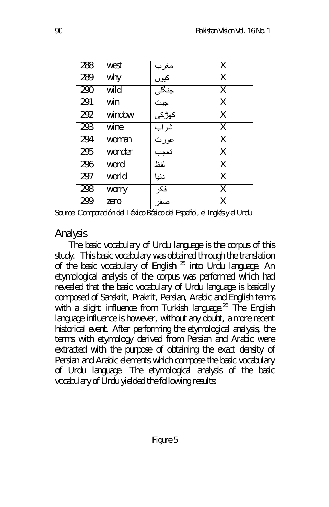| 288 | west   | مغرب  | X                       |
|-----|--------|-------|-------------------------|
| 289 | why    | کیوں  | X                       |
| 290 | wild   | جنگلی | X                       |
| 291 | win    | جيت   | X                       |
| 292 | window | كهڑكى | X                       |
| 293 | wine   | شراب  | X                       |
| 294 | woman  | عورت  | X                       |
| 295 | wonder | تعجب  | X                       |
| 296 | word   | لفظ   | X                       |
| 297 | world  | دنیا  | $\overline{\mathsf{X}}$ |
| 298 | worry  | فكر   | $\overline{\mathsf{X}}$ |
| 299 | zero   | صفر   | X                       |

Source: Comparación del Léxico Básico del Español, el Inglés y el Urdu

### Analysis

The basic vocabulary of Urdu language is the corpus of this study. This basic vocabulary was obtained through the translation of the basic vocabulary of English  $^{25}$  into Urdu language. An etymological analysis of the corpus was performed which had revealed that the basic vocabulary of Urdu language is basically composed of Sanskrit, Prakrit, Persian, Arabic and English terms with a slight influence from Turkish language.<sup>26</sup> The English language influence is however, without any doubt, a more recent historical event. After performing the etymological analysis, the terms with etymology derived from Persian and Arabic were extracted with the purpose of obtaining the exact density of Persian and Arabic elements which compose the basic vocabulary of Urdu language. The etymological analysis of the basic vocabulary of Urdu yielded the following results: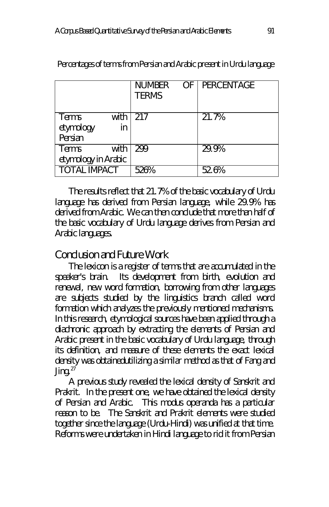|                                      |            | <b>NUMBER</b><br><b>TERMS</b> | OF   PERCENTAGE |
|--------------------------------------|------------|-------------------------------|-----------------|
| <b>Terms</b><br>etymology<br>Persian | with<br>in | 217                           | 21.7%           |
| Terms<br>etymology in Arabic         | with       | 299                           | 29.9%           |
| <b>TOTAL IMPACT</b>                  |            | 526%                          | 52.6%           |

Percentages of terms from Persian and Arabic present in Urdu language

The results reflect that 21.7% of the basic vocabulary of Urdu language has derived from Persian language, while 29.9% has derived from Arabic. We can then conclude that more than half of the basic vocabulary of Urdu language derives from Persian and Arabic languages.

### Conclusion and Future Work

The lexicon is a register of terms that are accumulated in the speaker's brain. Its development from birth, evolution and renewal, new word formation, borrowing from other languages are subjects studied by the linguistics branch called word formation which analyzes the previously mentioned mechanisms. In this research, etymological sources have been applied through a diachronic approach by extracting the elements of Persian and Arabic present in the basic vocabulary of Urdu language, through its definition, and measure of these elements the exact lexical density was obtainedutilizing a similar method as that of Fang and Jing. $27$ 

A previous study revealed the lexical density of Sanskrit and Prakrit. In the present one, we have obtained the lexical density of Persian and Arabic. This modus operanda has a particular reason to be. The Sanskrit and Prakrit elements were studied together since the language (Urdu-Hindi) was unified at that time. Reforms were undertaken in Hindi language to rid it from Persian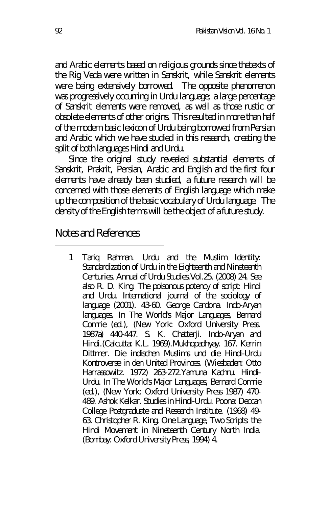and Arabic elements based on religious grounds since thetexts of the Rig Veda were written in Sanskrit, while Sanskrit elements were being extensively borrowed. The opposite phenomenon was progressively occurring in Urdu language; a large percentage of Sanskrit elements were removed, as well as those rustic or obsolete elements of other origins. This resulted in more than half of the modern basic lexicon of Urdu being borrowed from Persian and Arabic which we have studied in this research, creating the split of both languages Hindi and Urdu.

Since the original study revealed substantial elements of Sanskrit, Prakrit, Persian, Arabic and English and the first four elements have already been studied, a future research will be concerned with those elements of English language which make up the composition of the basic vocabulary of Urdu language. The density of the English terms will be the object of a future study.

### Notes and References

 $\overline{a}$ 

1 Tariq Rahman. Urdu and the Muslim Identity: Standardization of Urdu in the Eighteenth and Nineteenth Centuries. Annual of Urdu Studies.Vol.25. (2008) 24. See also R. D. King. The poisonous potency of script: Hindi and Urdu. International journal of the sociology of language (2001). 43-60. George Cardona. Indo-Aryan languages. In The World's Major Languages, Bernard Comrie (ed.), (New York: Oxford University Press. 1987a) 440-447. S. K. Chatterji. Indo-Aryan and Hindi.(Calcutta: K.L. 1969).Mukhopadhyay. 167. Kerrin Dittmer. Die indischen Muslims und die Hindi-Urdu Kontroverse in den United Provinces. (Wiesbaden: Otto Harrassowitz. 1972) 263-272.Yamuna Kachru. Hindi-Urdu. In The World's Major Languages, Bernard Comrie (ed.), (New York: Oxford University Press 1987) 470- 489. Ashok Kelkar. Studies in Hindi-Urdu. Poona: Deccan College Postgraduate and Research Institute. (1968) 49- 63. Christopher R. King, One Language, Two Scripts: the Hindi Movement in Nineteenth Century North India. (Bombay: Oxford University Press, 1994) 4.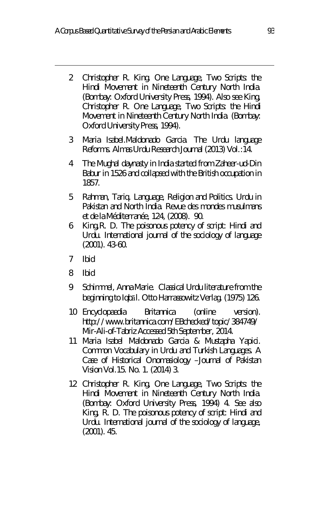- 2 Christopher R. King. One Language, Two Scripts: the Hindi Movement in Nineteenth Century North India. (Bombay: Oxford University Press, 1994). Also see King, Christopher R. One Language, Two Scripts: the Hindi Movement in Nineteenth Century North India. (Bombay: Oxford University Press, 1994).
- 3 Maria Isabel.Maldonado Garcia. The Urdu language Reforms. Almas Urdu Research Journal (2013) Vol.:14.
- 4 The Mughal daynasty in India started from Zaheer-ud-Din Babur in 1526 and collapsed with the British occupation in 1857.
- 5 Rahman, Tariq. Language, Religion and Politics. Urdu in Pakistan and North India. Revue des mondes musulmans et de la Méditerranée, 124, (2008). 90.
- 6 King,R. D. The poisonous potency of script: Hindi and Urdu. International journal of the sociology of language (2001). 43-60.
- 7 Ibid

 $\overline{a}$ 

- 8 Ibid
- 9 Schimmel, Anna Marie. Classical Urdu literature from the beginning to Iqbāl. Otto Harrassowitz Verlag. (1975) 126.
- 10 Encyclopaedia Britannica (online version). http://www.britannica.com/EBchecked/topic/384749/ Mir-Ali-of-Tabriz Accessed 5th September, 2014.
- 11 Maria Isabel Maldonado Garcia & Mustapha Yapici. Common Vocabulary in Urdu and Turkish Languages. A Case of Historical Onomasiology –Journal of Pakistan Vision Vol.15. No. 1. (2014) 3.
- 12 Christopher R. King, One Language, Two Scripts: the Hindi Movement in Nineteenth Century North India. (Bombay: Oxford University Press, 1994) 4. See also King, R. D. The poisonous potency of script: Hindi and Urdu. International journal of the sociology of language, (2001). 45.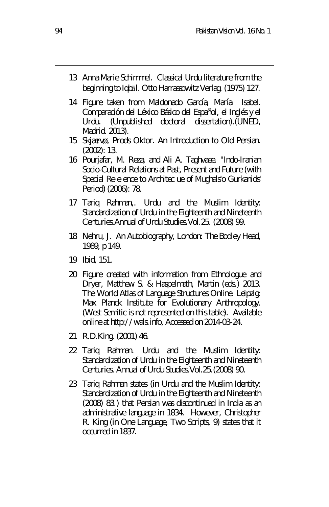- 13 Anna Marie Schimmel. Classical Urdu literature from the beginning to Iqbāl. Otto Harrassowitz Verlag. (1975) 127.
- 14 Figure taken from Maldonado García, María Isabel. Comparación del Léxico Básico del Español, el Inglés y el (Unpublished doctoral dissertation). (UNED, Madrid. 2013).
- 15 Skjærvø, Prods Oktor. An Introduction to Old Persian. (2002): 13.
- 16 Pourjafar, M. Reza, and Ali A. Taghvaee. "Indo-Iranian Socio-Cultural Relations at Past, Present and Future (with Special Re e ence to Architec ue of Mughals'o Gurkanids' Period) (2006): 78.
- 17 Tariq Rahman,. Urdu and the Muslim Identity: Standardization of Urdu in the Eighteenth and Nineteenth Centuries.Annual of Urdu Studies.Vol.25. (2008) 99.
- 18 Nehru, J. An Autobiography, London: The Bodley Head, 1989, p 149.
- 19 Ibid, 151.
- 20 Figure created with information from Ethnologue and Dryer, Matthew S. & Haspelmath, Martin (eds.) 2013. The World Atlas of Language Structures Online. Leipzig: Max Planck Institute for Evolutionary Anthropology. (West Semitic is not represented on this table). Available online at http://wals.info, Accessed on 2014-03-24.
- 21 R.D.King. (2001) 46.
- 22 Tariq Rahman. Urdu and the Muslim Identity: Standardization of Urdu in the Eighteenth and Nineteenth Centuries. Annual of Urdu Studies.Vol.25.(2008) 90.
- 23 Tariq Rahman states (in Urdu and the Muslim Identity: Standardization of Urdu in the Eighteenth and Nineteenth (2008) 83.) that Persian was discontinued in India as an administrative language in 1834. However, Christopher R. King (in One Language, Two Scripts, 9) states that it occurred in 1837.

 $\overline{a}$